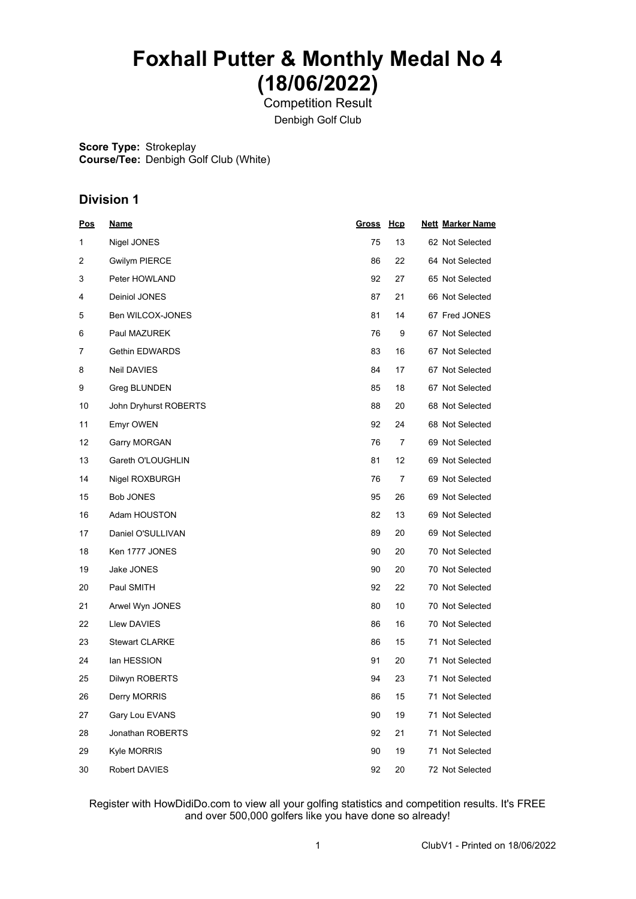# **Foxhall Putter & Monthly Medal No 4 (18/06/2022)**

Competition Result Denbigh Golf Club

**Score Type:** Strokeplay **Course/Tee:** Denbigh Golf Club (White)

### **Division 1**

| <u>Pos</u> | <u>Name</u>           | <u>Gross Hcp</u> |                | <b>Nett Marker Name</b> |
|------------|-----------------------|------------------|----------------|-------------------------|
| 1          | Nigel JONES           | 75               | 13             | 62 Not Selected         |
| 2          | <b>Gwilym PIERCE</b>  | 86               | 22             | 64 Not Selected         |
| 3          | Peter HOWLAND         | 92               | 27             | 65 Not Selected         |
| 4          | Deiniol JONES         | 87               | 21             | 66 Not Selected         |
| 5          | Ben WILCOX-JONES      | 81               | 14             | 67 Fred JONES           |
| 6          | Paul MAZUREK          | 76               | 9              | 67 Not Selected         |
| 7          | <b>Gethin EDWARDS</b> | 83               | 16             | 67 Not Selected         |
| 8          | <b>Neil DAVIES</b>    | 84               | 17             | 67 Not Selected         |
| 9          | Greg BLUNDEN          | 85               | 18             | 67 Not Selected         |
| 10         | John Dryhurst ROBERTS | 88               | 20             | 68 Not Selected         |
| 11         | <b>Emyr OWEN</b>      | 92               | 24             | 68 Not Selected         |
| 12         | Garry MORGAN          | 76               | 7              | 69 Not Selected         |
| 13         | Gareth O'LOUGHLIN     | 81               | 12             | 69 Not Selected         |
| 14         | Nigel ROXBURGH        | 76               | $\overline{7}$ | 69 Not Selected         |
| 15         | <b>Bob JONES</b>      | 95               | 26             | 69 Not Selected         |
| 16         | Adam HOUSTON          | 82               | 13             | 69 Not Selected         |
| 17         | Daniel O'SULLIVAN     | 89               | 20             | 69 Not Selected         |
| 18         | Ken 1777 JONES        | 90               | 20             | 70 Not Selected         |
| 19         | Jake JONES            | 90               | 20             | 70 Not Selected         |
| 20         | Paul SMITH            | 92               | 22             | 70 Not Selected         |
| 21         | Arwel Wyn JONES       | 80               | 10             | 70 Not Selected         |
| 22         | Llew DAVIES           | 86               | 16             | 70 Not Selected         |
| 23         | <b>Stewart CLARKE</b> | 86               | 15             | 71 Not Selected         |
| 24         | lan HESSION           | 91               | 20             | 71 Not Selected         |
| 25         | Dilwyn ROBERTS        | 94               | 23             | 71 Not Selected         |
| 26         | Derry MORRIS          | 86               | 15             | 71 Not Selected         |
| 27         | Gary Lou EVANS        | 90               | 19             | 71 Not Selected         |
| 28         | Jonathan ROBERTS      | 92               | 21             | 71 Not Selected         |
| 29         | <b>Kyle MORRIS</b>    | 90               | 19             | 71 Not Selected         |
| 30         | Robert DAVIES         | 92               | 20             | 72 Not Selected         |

Register with HowDidiDo.com to view all your golfing statistics and competition results. It's FREE and over 500,000 golfers like you have done so already!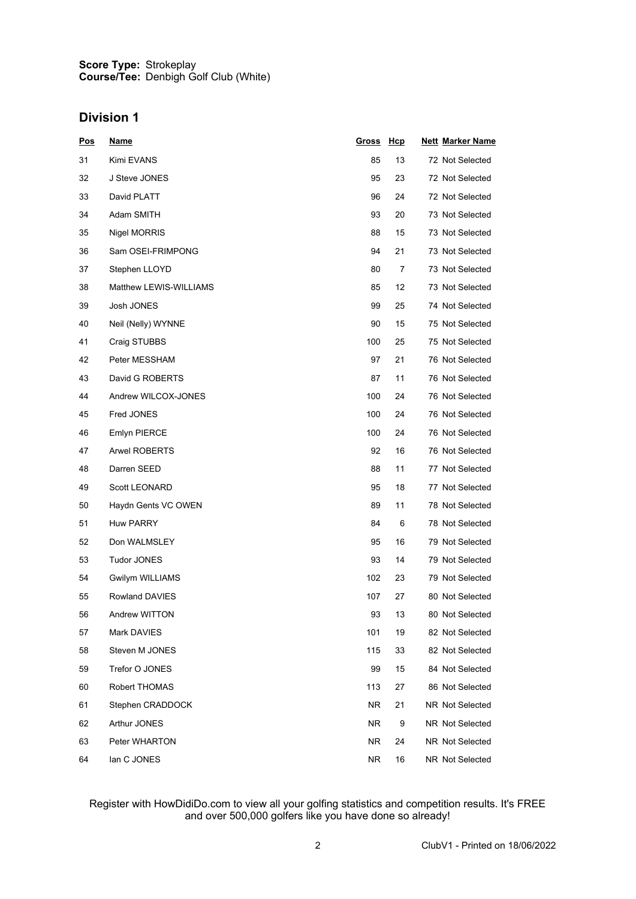#### **Score Type: Course/Tee:** Strokeplay Denbigh Golf Club (White)

#### **Division 1**

| <u>Pos</u> | <u>Name</u>            | <u>Gross</u> | <u>Hcp</u> | <b>Nett Marker Name</b> |
|------------|------------------------|--------------|------------|-------------------------|
| 31         | Kimi EVANS             | 85           | 13         | 72 Not Selected         |
| 32         | J Steve JONES          | 95           | 23         | 72 Not Selected         |
| 33         | David PLATT            | 96           | 24         | 72 Not Selected         |
| 34         | Adam SMITH             | 93           | 20         | 73 Not Selected         |
| 35         | <b>Nigel MORRIS</b>    | 88           | 15         | 73 Not Selected         |
| 36         | Sam OSEI-FRIMPONG      | 94           | 21         | 73 Not Selected         |
| 37         | Stephen LLOYD          | 80           | 7          | 73 Not Selected         |
| 38         | Matthew LEWIS-WILLIAMS | 85           | 12         | 73 Not Selected         |
| 39         | Josh JONES             | 99           | 25         | 74 Not Selected         |
| 40         | Neil (Nelly) WYNNE     | 90           | 15         | 75 Not Selected         |
| 41         | Craig STUBBS           | 100          | 25         | 75 Not Selected         |
| 42         | Peter MESSHAM          | 97           | 21         | 76 Not Selected         |
| 43         | David G ROBERTS        | 87           | 11         | 76 Not Selected         |
| 44         | Andrew WILCOX-JONES    | 100          | 24         | 76 Not Selected         |
| 45         | Fred JONES             | 100          | 24         | 76 Not Selected         |
| 46         | <b>Emlyn PIERCE</b>    | 100          | 24         | 76 Not Selected         |
| 47         | <b>Arwel ROBERTS</b>   | 92           | 16         | 76 Not Selected         |
| 48         | Darren SEED            | 88           | 11         | 77 Not Selected         |
| 49         | <b>Scott LEONARD</b>   | 95           | 18         | 77 Not Selected         |
| 50         | Haydn Gents VC OWEN    | 89           | 11         | 78 Not Selected         |
| 51         | Huw PARRY              | 84           | 6          | 78 Not Selected         |
| 52         | Don WALMSLEY           | 95           | 16         | 79 Not Selected         |
| 53         | <b>Tudor JONES</b>     | 93           | 14         | 79 Not Selected         |
| 54         | Gwilym WILLIAMS        | 102          | 23         | 79 Not Selected         |
| 55         | <b>Rowland DAVIES</b>  | 107          | 27         | 80 Not Selected         |
| 56         | Andrew WITTON          | 93           | 13         | 80 Not Selected         |
| 57         | Mark DAVIES            | 101          | 19         | 82 Not Selected         |
| 58         | Steven M JONES         | 115          | 33         | 82 Not Selected         |
| 59         | Trefor O JONES         | 99           | 15         | 84 Not Selected         |
| 60         | Robert THOMAS          | 113          | 27         | 86 Not Selected         |
| 61         | Stephen CRADDOCK       | <b>NR</b>    | 21         | NR Not Selected         |
| 62         | Arthur JONES           | <b>NR</b>    | 9          | NR Not Selected         |
| 63         | Peter WHARTON          | <b>NR</b>    | 24         | NR Not Selected         |
| 64         | lan C JONES            | <b>NR</b>    | 16         | NR Not Selected         |

#### Register with HowDidiDo.com to view all your golfing statistics and competition results. It's FREE and over 500,000 golfers like you have done so already!